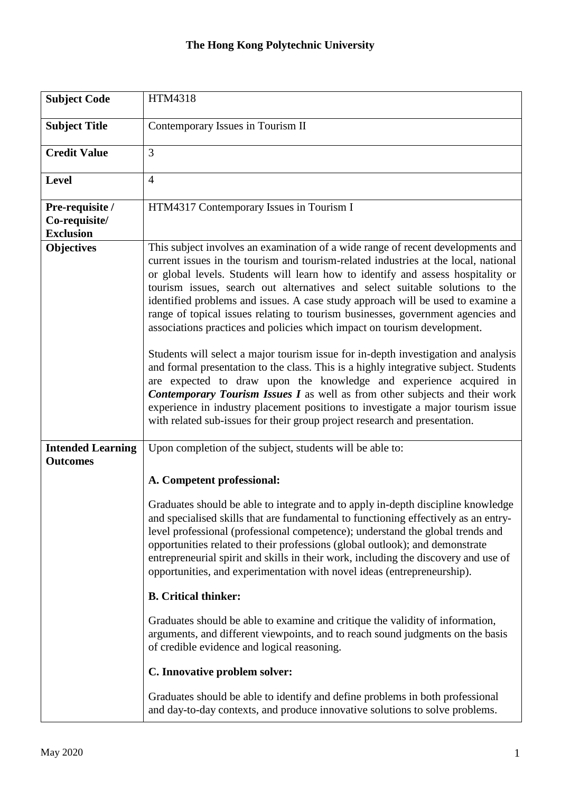## **The Hong Kong Polytechnic University**

| <b>Subject Code</b>                                  | HTM4318                                                                                                                                                                                                                                                                                                                                                                                                                                                                                                                                                                                                                                                                                                                                                                                                                                                                                                                                                                                                                                                                                                |
|------------------------------------------------------|--------------------------------------------------------------------------------------------------------------------------------------------------------------------------------------------------------------------------------------------------------------------------------------------------------------------------------------------------------------------------------------------------------------------------------------------------------------------------------------------------------------------------------------------------------------------------------------------------------------------------------------------------------------------------------------------------------------------------------------------------------------------------------------------------------------------------------------------------------------------------------------------------------------------------------------------------------------------------------------------------------------------------------------------------------------------------------------------------------|
| <b>Subject Title</b>                                 | Contemporary Issues in Tourism II                                                                                                                                                                                                                                                                                                                                                                                                                                                                                                                                                                                                                                                                                                                                                                                                                                                                                                                                                                                                                                                                      |
| <b>Credit Value</b>                                  | 3                                                                                                                                                                                                                                                                                                                                                                                                                                                                                                                                                                                                                                                                                                                                                                                                                                                                                                                                                                                                                                                                                                      |
| <b>Level</b>                                         | $\overline{4}$                                                                                                                                                                                                                                                                                                                                                                                                                                                                                                                                                                                                                                                                                                                                                                                                                                                                                                                                                                                                                                                                                         |
| Pre-requisite /<br>Co-requisite/<br><b>Exclusion</b> | HTM4317 Contemporary Issues in Tourism I                                                                                                                                                                                                                                                                                                                                                                                                                                                                                                                                                                                                                                                                                                                                                                                                                                                                                                                                                                                                                                                               |
| <b>Objectives</b>                                    | This subject involves an examination of a wide range of recent developments and<br>current issues in the tourism and tourism-related industries at the local, national<br>or global levels. Students will learn how to identify and assess hospitality or<br>tourism issues, search out alternatives and select suitable solutions to the<br>identified problems and issues. A case study approach will be used to examine a<br>range of topical issues relating to tourism businesses, government agencies and<br>associations practices and policies which impact on tourism development.<br>Students will select a major tourism issue for in-depth investigation and analysis<br>and formal presentation to the class. This is a highly integrative subject. Students<br>are expected to draw upon the knowledge and experience acquired in<br><b>Contemporary Tourism Issues I</b> as well as from other subjects and their work<br>experience in industry placement positions to investigate a major tourism issue<br>with related sub-issues for their group project research and presentation. |
| <b>Intended Learning</b><br><b>Outcomes</b>          | Upon completion of the subject, students will be able to:                                                                                                                                                                                                                                                                                                                                                                                                                                                                                                                                                                                                                                                                                                                                                                                                                                                                                                                                                                                                                                              |
|                                                      | A. Competent professional:                                                                                                                                                                                                                                                                                                                                                                                                                                                                                                                                                                                                                                                                                                                                                                                                                                                                                                                                                                                                                                                                             |
|                                                      | Graduates should be able to integrate and to apply in-depth discipline knowledge<br>and specialised skills that are fundamental to functioning effectively as an entry-<br>level professional (professional competence); understand the global trends and<br>opportunities related to their professions (global outlook); and demonstrate<br>entrepreneurial spirit and skills in their work, including the discovery and use of<br>opportunities, and experimentation with novel ideas (entrepreneurship).                                                                                                                                                                                                                                                                                                                                                                                                                                                                                                                                                                                            |
|                                                      | <b>B.</b> Critical thinker:                                                                                                                                                                                                                                                                                                                                                                                                                                                                                                                                                                                                                                                                                                                                                                                                                                                                                                                                                                                                                                                                            |
|                                                      | Graduates should be able to examine and critique the validity of information,<br>arguments, and different viewpoints, and to reach sound judgments on the basis<br>of credible evidence and logical reasoning.                                                                                                                                                                                                                                                                                                                                                                                                                                                                                                                                                                                                                                                                                                                                                                                                                                                                                         |
|                                                      | C. Innovative problem solver:                                                                                                                                                                                                                                                                                                                                                                                                                                                                                                                                                                                                                                                                                                                                                                                                                                                                                                                                                                                                                                                                          |
|                                                      | Graduates should be able to identify and define problems in both professional<br>and day-to-day contexts, and produce innovative solutions to solve problems.                                                                                                                                                                                                                                                                                                                                                                                                                                                                                                                                                                                                                                                                                                                                                                                                                                                                                                                                          |